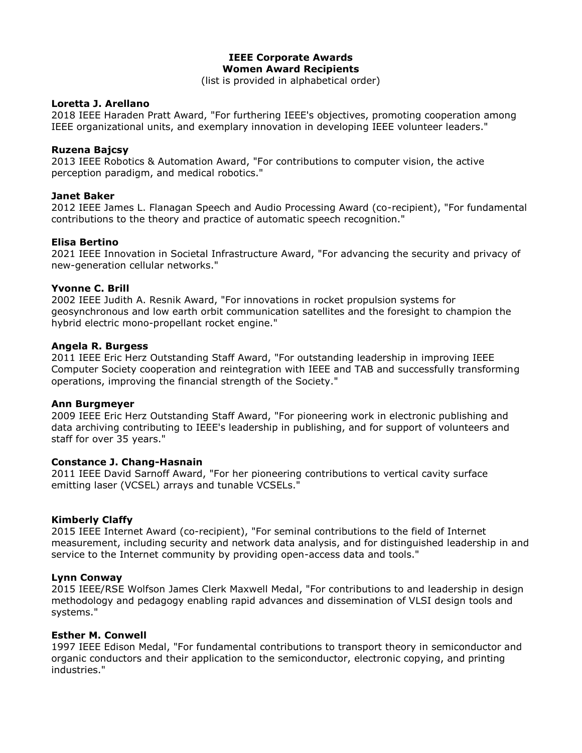# **IEEE Corporate Awards Women Award Recipients**

(list is provided in alphabetical order)

### **Loretta J. Arellano**

2018 IEEE Haraden Pratt Award, "For furthering IEEE's objectives, promoting cooperation among IEEE organizational units, and exemplary innovation in developing IEEE volunteer leaders."

### **Ruzena Bajcsy**

2013 IEEE Robotics & Automation Award, "For contributions to computer vision, the active perception paradigm, and medical robotics."

### **Janet Baker**

2012 IEEE James L. Flanagan Speech and Audio Processing Award (co-recipient), "For fundamental contributions to the theory and practice of automatic speech recognition."

# **Elisa Bertino**

2021 IEEE Innovation in Societal Infrastructure Award, "For advancing the security and privacy of new-generation cellular networks."

### **Yvonne C. Brill**

2002 IEEE Judith A. Resnik Award, "For innovations in rocket propulsion systems for geosynchronous and low earth orbit communication satellites and the foresight to champion the hybrid electric mono-propellant rocket engine."

#### **Angela R. Burgess**

2011 IEEE Eric Herz Outstanding Staff Award, "For outstanding leadership in improving IEEE Computer Society cooperation and reintegration with IEEE and TAB and successfully transforming operations, improving the financial strength of the Society."

#### **Ann Burgmeyer**

2009 IEEE Eric Herz Outstanding Staff Award, "For pioneering work in electronic publishing and data archiving contributing to IEEE's leadership in publishing, and for support of volunteers and staff for over 35 years."

#### **Constance J. Chang-Hasnain**

2011 IEEE David Sarnoff Award, "For her pioneering contributions to vertical cavity surface emitting laser (VCSEL) arrays and tunable VCSELs."

#### **Kimberly Claffy**

2015 IEEE Internet Award (co-recipient), "For seminal contributions to the field of Internet measurement, including security and network data analysis, and for distinguished leadership in and service to the Internet community by providing open-access data and tools."

#### **Lynn Conway**

2015 IEEE/RSE Wolfson James Clerk Maxwell Medal, "For contributions to and leadership in design methodology and pedagogy enabling rapid advances and dissemination of VLSI design tools and systems."

#### **Esther M. Conwell**

1997 IEEE Edison Medal, "For fundamental contributions to transport theory in semiconductor and organic conductors and their application to the semiconductor, electronic copying, and printing industries."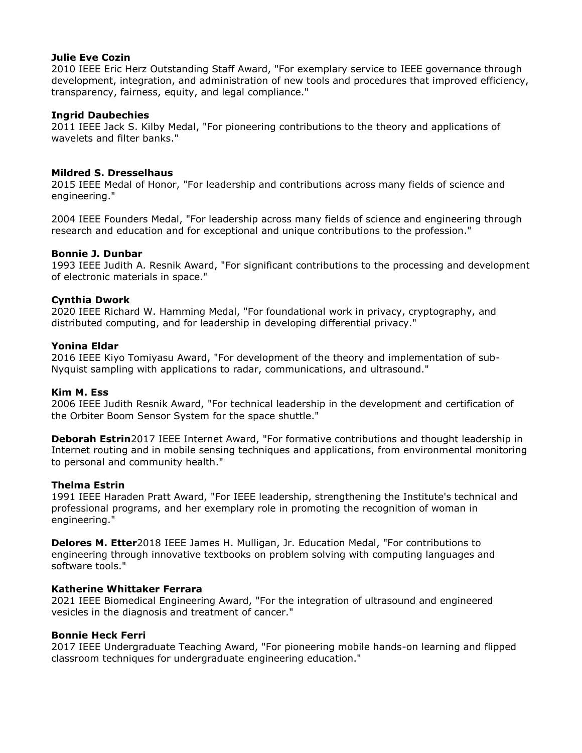### **Julie Eve Cozin**

2010 IEEE Eric Herz Outstanding Staff Award, "For exemplary service to IEEE governance through development, integration, and administration of new tools and procedures that improved efficiency, transparency, fairness, equity, and legal compliance."

### **Ingrid Daubechies**

2011 IEEE Jack S. Kilby Medal, "For pioneering contributions to the theory and applications of wavelets and filter banks."

### **Mildred S. Dresselhaus**

2015 IEEE Medal of Honor, "For leadership and contributions across many fields of science and engineering."

2004 IEEE Founders Medal, "For leadership across many fields of science and engineering through research and education and for exceptional and unique contributions to the profession."

### **Bonnie J. Dunbar**

1993 IEEE Judith A. Resnik Award, "For significant contributions to the processing and development of electronic materials in space."

### **Cynthia Dwork**

2020 IEEE Richard W. Hamming Medal, "For foundational work in privacy, cryptography, and distributed computing, and for leadership in developing differential privacy."

#### **Yonina Eldar**

2016 IEEE Kiyo Tomiyasu Award, "For development of the theory and implementation of sub-Nyquist sampling with applications to radar, communications, and ultrasound."

#### **Kim M. Ess**

2006 IEEE Judith Resnik Award, "For technical leadership in the development and certification of the Orbiter Boom Sensor System for the space shuttle."

**Deborah Estrin**2017 IEEE Internet Award, "For formative contributions and thought leadership in Internet routing and in mobile sensing techniques and applications, from environmental monitoring to personal and community health."

#### **Thelma Estrin**

1991 IEEE Haraden Pratt Award, "For IEEE leadership, strengthening the Institute's technical and professional programs, and her exemplary role in promoting the recognition of woman in engineering."

**Delores M. Etter**2018 IEEE James H. Mulligan, Jr. Education Medal, "For contributions to engineering through innovative textbooks on problem solving with computing languages and software tools."

### **Katherine Whittaker Ferrara**

2021 IEEE Biomedical Engineering Award, "For the integration of ultrasound and engineered vesicles in the diagnosis and treatment of cancer."

#### **Bonnie Heck Ferri**

2017 IEEE Undergraduate Teaching Award, "For pioneering mobile hands-on learning and flipped classroom techniques for undergraduate engineering education."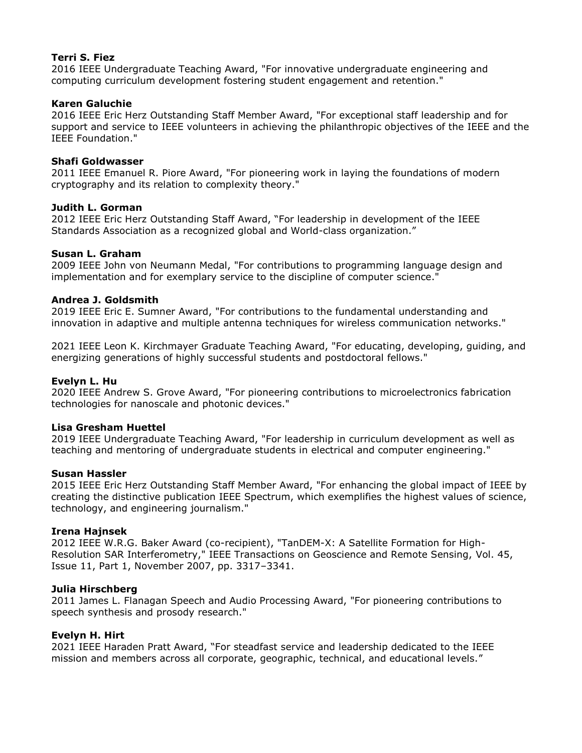# **Terri S. Fiez**

2016 IEEE Undergraduate Teaching Award, "For innovative undergraduate engineering and computing curriculum development fostering student engagement and retention."

# **Karen Galuchie**

2016 IEEE Eric Herz Outstanding Staff Member Award, "For exceptional staff leadership and for support and service to IEEE volunteers in achieving the philanthropic objectives of the IEEE and the IEEE Foundation."

### **Shafi Goldwasser**

2011 IEEE Emanuel R. Piore Award, "For pioneering work in laying the foundations of modern cryptography and its relation to complexity theory."

### **Judith L. Gorman**

2012 IEEE Eric Herz Outstanding Staff Award, "For leadership in development of the IEEE Standards Association as a recognized global and World-class organization."

# **Susan L. Graham**

2009 IEEE John von Neumann Medal, "For contributions to programming language design and implementation and for exemplary service to the discipline of computer science."

# **Andrea J. Goldsmith**

2019 IEEE Eric E. Sumner Award, "For contributions to the fundamental understanding and innovation in adaptive and multiple antenna techniques for wireless communication networks."

2021 IEEE Leon K. Kirchmayer Graduate Teaching Award, "For educating, developing, guiding, and energizing generations of highly successful students and postdoctoral fellows."

### **Evelyn L. Hu**

2020 IEEE Andrew S. Grove Award, "For pioneering contributions to microelectronics fabrication technologies for nanoscale and photonic devices."

#### **Lisa Gresham Huettel**

2019 IEEE Undergraduate Teaching Award, "For leadership in curriculum development as well as teaching and mentoring of undergraduate students in electrical and computer engineering."

#### **Susan Hassler**

2015 IEEE Eric Herz Outstanding Staff Member Award, "For enhancing the global impact of IEEE by creating the distinctive publication IEEE Spectrum, which exemplifies the highest values of science, technology, and engineering journalism."

#### **Irena Hajnsek**

2012 IEEE W.R.G. Baker Award (co-recipient), "TanDEM-X: A Satellite Formation for High-Resolution SAR Interferometry," IEEE Transactions on Geoscience and Remote Sensing, Vol. 45, Issue 11, Part 1, November 2007, pp. 3317–3341.

#### **Julia Hirschberg**

2011 James L. Flanagan Speech and Audio Processing Award, "For pioneering contributions to speech synthesis and prosody research."

# **Evelyn H. Hirt**

2021 IEEE Haraden Pratt Award, "For steadfast service and leadership dedicated to the IEEE mission and members across all corporate, geographic, technical, and educational levels."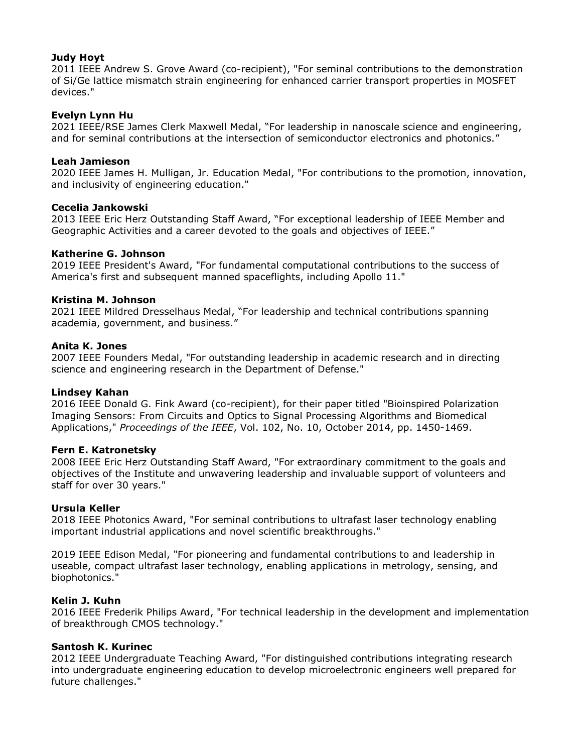# **Judy Hoyt**

2011 IEEE Andrew S. Grove Award (co-recipient), "For seminal contributions to the demonstration of Si/Ge lattice mismatch strain engineering for enhanced carrier transport properties in MOSFET devices."

### **Evelyn Lynn Hu**

2021 IEEE/RSE James Clerk Maxwell Medal, "For leadership in nanoscale science and engineering, and for seminal contributions at the intersection of semiconductor electronics and photonics."

### **Leah Jamieson**

2020 IEEE James H. Mulligan, Jr. Education Medal, "For contributions to the promotion, innovation, and inclusivity of engineering education."

### **Cecelia Jankowski**

2013 IEEE Eric Herz Outstanding Staff Award, "For exceptional leadership of IEEE Member and Geographic Activities and a career devoted to the goals and objectives of IEEE."

### **Katherine G. Johnson**

2019 IEEE President's Award, "For fundamental computational contributions to the success of America's first and subsequent manned spaceflights, including Apollo 11."

### **Kristina M. Johnson**

2021 IEEE Mildred Dresselhaus Medal, "For leadership and technical contributions spanning academia, government, and business."

### **Anita K. Jones**

2007 IEEE Founders Medal, "For outstanding leadership in academic research and in directing science and engineering research in the Department of Defense."

#### **Lindsey Kahan**

2016 IEEE Donald G. Fink Award (co-recipient), for their paper titled "Bioinspired Polarization Imaging Sensors: From Circuits and Optics to Signal Processing Algorithms and Biomedical Applications," *Proceedings of the IEEE*, Vol. 102, No. 10, October 2014, pp. 1450-1469.

#### **Fern E. Katronetsky**

2008 IEEE Eric Herz Outstanding Staff Award, "For extraordinary commitment to the goals and objectives of the Institute and unwavering leadership and invaluable support of volunteers and staff for over 30 years."

#### **Ursula Keller**

2018 IEEE Photonics Award, "For seminal contributions to ultrafast laser technology enabling important industrial applications and novel scientific breakthroughs."

2019 IEEE Edison Medal, "For pioneering and fundamental contributions to and leadership in useable, compact ultrafast laser technology, enabling applications in metrology, sensing, and biophotonics."

#### **Kelin J. Kuhn**

2016 IEEE Frederik Philips Award, "For technical leadership in the development and implementation of breakthrough CMOS technology."

#### **Santosh K. Kurinec**

2012 IEEE Undergraduate Teaching Award, "For distinguished contributions integrating research into undergraduate engineering education to develop microelectronic engineers well prepared for future challenges."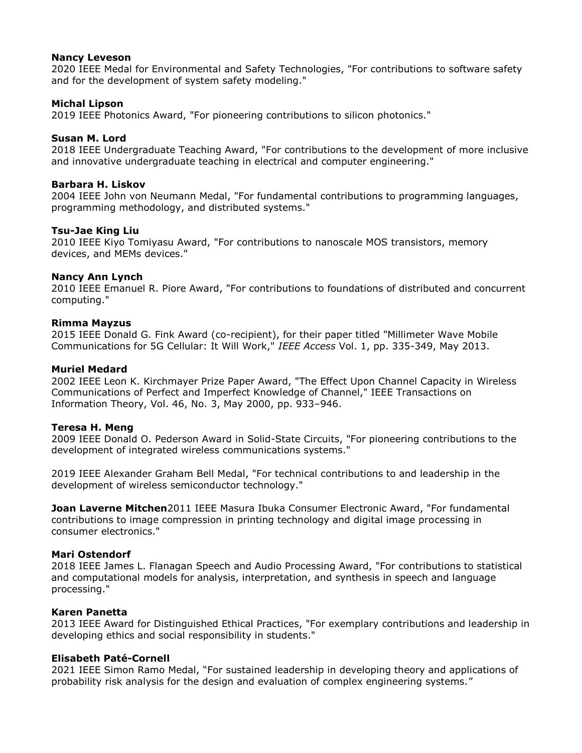### **Nancy Leveson**

2020 IEEE Medal for Environmental and Safety Technologies, "For contributions to software safety and for the development of system safety modeling."

### **Michal Lipson**

2019 IEEE Photonics Award, "For pioneering contributions to silicon photonics."

### **Susan M. Lord**

2018 IEEE Undergraduate Teaching Award, "For contributions to the development of more inclusive and innovative undergraduate teaching in electrical and computer engineering."

### **Barbara H. Liskov**

2004 IEEE John von Neumann Medal, "For fundamental contributions to programming languages, programming methodology, and distributed systems."

### **Tsu-Jae King Liu**

2010 IEEE Kiyo Tomiyasu Award, "For contributions to nanoscale MOS transistors, memory devices, and MEMs devices."

### **Nancy Ann Lynch**

2010 IEEE Emanuel R. Piore Award, "For contributions to foundations of distributed and concurrent computing."

#### **Rimma Mayzus**

2015 IEEE Donald G. Fink Award (co-recipient), for their paper titled "Millimeter Wave Mobile Communications for 5G Cellular: It Will Work," *IEEE Access* Vol. 1, pp. 335-349, May 2013.

### **Muriel Medard**

2002 IEEE Leon K. Kirchmayer Prize Paper Award, "The Effect Upon Channel Capacity in Wireless Communications of Perfect and Imperfect Knowledge of Channel," IEEE Transactions on Information Theory, Vol. 46, No. 3, May 2000, pp. 933–946.

#### **Teresa H. Meng**

2009 IEEE Donald O. Pederson Award in Solid-State Circuits, "For pioneering contributions to the development of integrated wireless communications systems."

2019 IEEE Alexander Graham Bell Medal, "For technical contributions to and leadership in the development of wireless semiconductor technology."

**Joan Laverne Mitchen**2011 IEEE Masura Ibuka Consumer Electronic Award, "For fundamental contributions to image compression in printing technology and digital image processing in consumer electronics."

#### **Mari Ostendorf**

2018 IEEE James L. Flanagan Speech and Audio Processing Award, "For contributions to statistical and computational models for analysis, interpretation, and synthesis in speech and language processing."

# **Karen Panetta**

2013 IEEE Award for Distinguished Ethical Practices, "For exemplary contributions and leadership in developing ethics and social responsibility in students."

### **Elisabeth Paté-Cornell**

2021 IEEE Simon Ramo Medal, "For sustained leadership in developing theory and applications of probability risk analysis for the design and evaluation of complex engineering systems."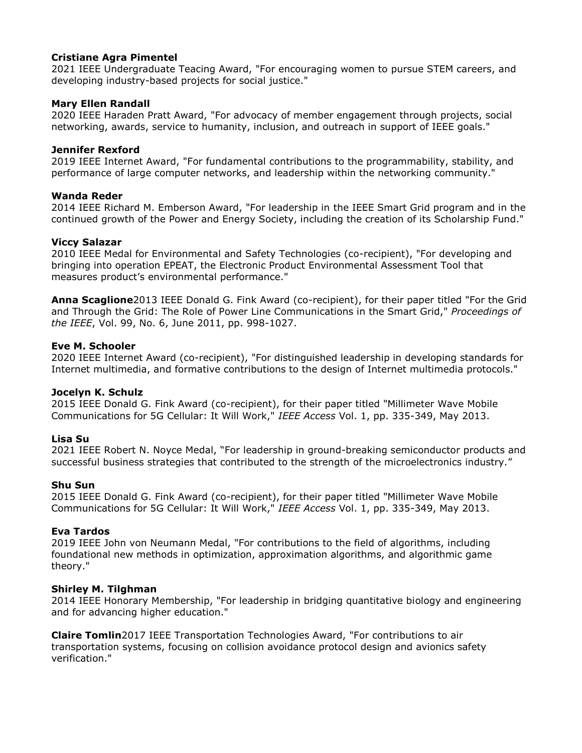# **Cristiane Agra Pimentel**

2021 IEEE Undergraduate Teacing Award, "For encouraging women to pursue STEM careers, and developing industry-based projects for social justice."

### **Mary Ellen Randall**

2020 IEEE Haraden Pratt Award, "For advocacy of member engagement through projects, social networking, awards, service to humanity, inclusion, and outreach in support of IEEE goals."

### **Jennifer Rexford**

2019 IEEE Internet Award, "For fundamental contributions to the programmability, stability, and performance of large computer networks, and leadership within the networking community."

### **Wanda Reder**

2014 IEEE Richard M. Emberson Award, "For leadership in the IEEE Smart Grid program and in the continued growth of the Power and Energy Society, including the creation of its Scholarship Fund."

### **Viccy Salazar**

2010 IEEE Medal for Environmental and Safety Technologies (co-recipient), "For developing and bringing into operation EPEAT, the Electronic Product Environmental Assessment Tool that measures product's environmental performance."

**Anna Scaglione**2013 IEEE Donald G. Fink Award (co-recipient), for their paper titled "For the Grid and Through the Grid: The Role of Power Line Communications in the Smart Grid," *Proceedings of the IEEE*, Vol. 99, No. 6, June 2011, pp. 998-1027.

#### **Eve M. Schooler**

2020 IEEE Internet Award (co-recipient), "For distinguished leadership in developing standards for Internet multimedia, and formative contributions to the design of Internet multimedia protocols."

#### **Jocelyn K. Schulz**

2015 IEEE Donald G. Fink Award (co-recipient), for their paper titled "Millimeter Wave Mobile Communications for 5G Cellular: It Will Work," *IEEE Access* Vol. 1, pp. 335-349, May 2013.

# **Lisa Su**

2021 IEEE Robert N. Noyce Medal, "For leadership in ground-breaking semiconductor products and successful business strategies that contributed to the strength of the microelectronics industry."

#### **Shu Sun**

2015 IEEE Donald G. Fink Award (co-recipient), for their paper titled "Millimeter Wave Mobile Communications for 5G Cellular: It Will Work," *IEEE Access* Vol. 1, pp. 335-349, May 2013.

#### **Eva Tardos**

2019 IEEE John von Neumann Medal, "For contributions to the field of algorithms, including foundational new methods in optimization, approximation algorithms, and algorithmic game theory."

#### **Shirley M. Tilghman**

2014 IEEE Honorary Membership, "For leadership in bridging quantitative biology and engineering and for advancing higher education."

**Claire Tomlin**2017 IEEE Transportation Technologies Award, "For contributions to air transportation systems, focusing on collision avoidance protocol design and avionics safety verification."